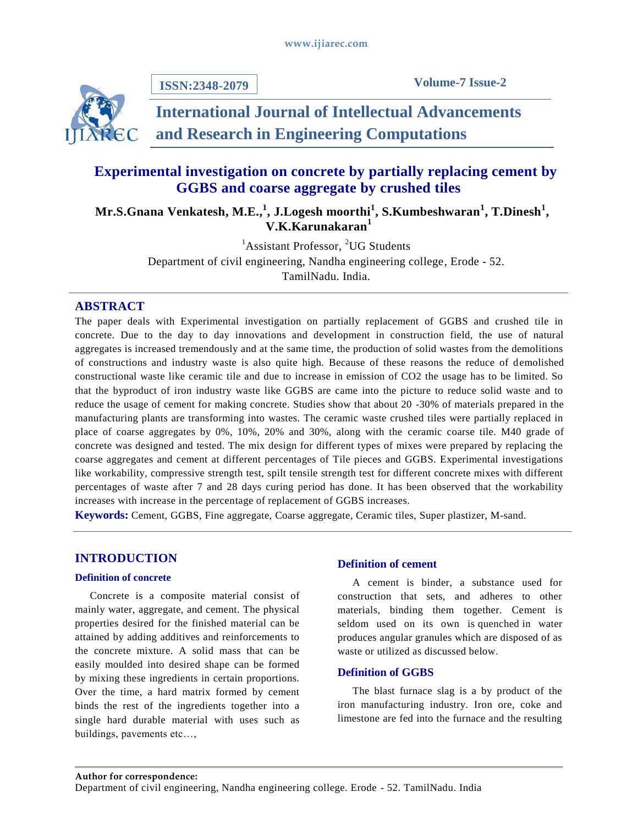**ISSN:2348-2079**



# **International Journal of Intellectual Advancements and Research in Engineering Computations**

# **Experimental investigation on concrete by partially replacing cement by GGBS and coarse aggregate by crushed tiles**

Mr.S.Gnana Venkatesh, M.E.,<sup>1</sup>, J.Logesh moorthi<sup>1</sup>, S.Kumbeshwaran<sup>1</sup>, T.Dinesh<sup>1</sup>, **V.K.Karunakaran<sup>1</sup>**

> ${}^{1}$ Assistant Professor,  ${}^{2}UG$  Students Department of civil engineering, Nandha engineering college, Erode - 52. TamilNadu. India.

# **ABSTRACT**

The paper deals with Experimental investigation on partially replacement of GGBS and crushed tile in concrete. Due to the day to day innovations and development in construction field, the use of natural aggregates is increased tremendously and at the same time, the production of solid wastes from the demolitions of constructions and industry waste is also quite high. Because of these reasons the reduce of demolished constructional waste like ceramic tile and due to increase in emission of CO2 the usage has to be limited. So that the byproduct of iron industry waste like GGBS are came into the picture to reduce solid waste and to reduce the usage of cement for making concrete. Studies show that about 20 -30% of materials prepared in the manufacturing plants are transforming into wastes. The ceramic waste crushed tiles were partially replaced in place of coarse aggregates by 0%, 10%, 20% and 30%, along with the ceramic coarse tile. M40 grade of concrete was designed and tested. The mix design for different types of mixes were prepared by replacing the coarse aggregates and cement at different percentages of Tile pieces and GGBS. Experimental investigations like workability, compressive strength test, spilt tensile strength test for different concrete mixes with different percentages of waste after 7 and 28 days curing period has done. It has been observed that the workability increases with increase in the percentage of replacement of GGBS increases.

**Keywords:** Cement, GGBS, Fine aggregate, Coarse aggregate, Ceramic tiles, Super plastizer, M-sand.

# **INTRODUCTION**

## **Definition of concrete**

Concrete is a composite material consist of mainly water, aggregate, and cement. The physical properties desired for the finished material can be attained by adding additives and reinforcements to the concrete mixture. A solid mass that can be easily moulded into desired shape can be formed by mixing these ingredients in certain proportions. Over the time, a hard matrix formed by cement binds the rest of the ingredients together into a single hard durable material with uses such as buildings, pavements etc…,

# **Definition of cement**

A cement is binder, a substance used for construction that sets, and adheres to other materials, binding them together. Cement is seldom used on its own is [quenched](https://en.wikipedia.org/wiki/Quenching) in water produces angular granules which are disposed of as waste or utilized as discussed below.

# **Definition of GGBS**

The blast furnace slag is a by product of the iron manufacturing industry. Iron ore, coke and limestone are fed into the furnace and the resulting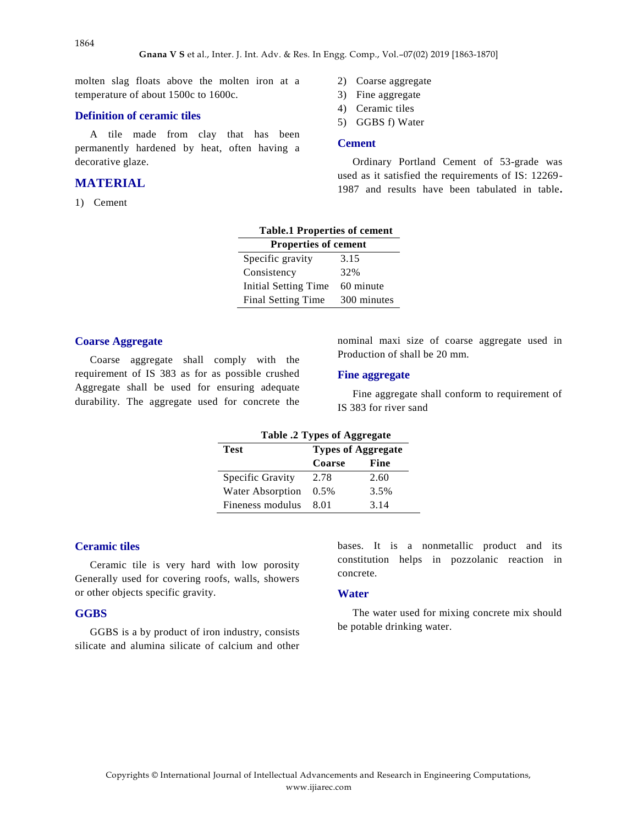molten slag floats above the molten iron at a temperature of about 1500c to 1600c.

#### **Definition of ceramic tiles**

A tile made from clay that has been permanently hardened by heat, often having a decorative glaze.

# **MATERIAL**

1) Cement

- 2) Coarse aggregate
- 3) Fine aggregate
- 4) Ceramic tiles
- 5) GGBS f) Water

#### **Cement**

Ordinary Portland Cement of 53-grade was used as it satisfied the requirements of IS: 12269- 1987 and results have been tabulated in table**.**

| <b>Table.1 Properties of cement</b> |             |  |
|-------------------------------------|-------------|--|
| <b>Properties of cement</b>         |             |  |
| Specific gravity                    | 3.15        |  |
| Consistency                         | 32%         |  |
| Initial Setting Time                | 60 minute   |  |
| Final Setting Time                  | 300 minutes |  |

#### **Coarse Aggregate**

Coarse aggregate shall comply with the requirement of IS 383 as for as possible crushed Aggregate shall be used for ensuring adequate durability. The aggregate used for concrete the nominal maxi size of coarse aggregate used in Production of shall be 20 mm.

#### **Fine aggregate**

Fine aggregate shall conform to requirement of IS 383 for river sand

| Table .2 Types of Aggregate |                           |      |  |
|-----------------------------|---------------------------|------|--|
| Test                        | <b>Types of Aggregate</b> |      |  |
|                             | Coarse                    | Fine |  |
| Specific Gravity            | 2.78                      | 2.60 |  |
| <b>Water Absorption</b>     | $0.5\%$                   | 3.5% |  |
| Fineness modulus            | 8 01                      | 3.14 |  |

## **Ceramic tiles**

Ceramic tile is very hard with low porosity Generally used for covering roofs, walls, showers or other objects specific gravity.

#### **GGBS**

GGBS is a by product of iron industry, consists silicate and alumina silicate of calcium and other bases. It is a nonmetallic product and its constitution helps in pozzolanic reaction in concrete.

#### **Water**

The water used for mixing concrete mix should be potable drinking water.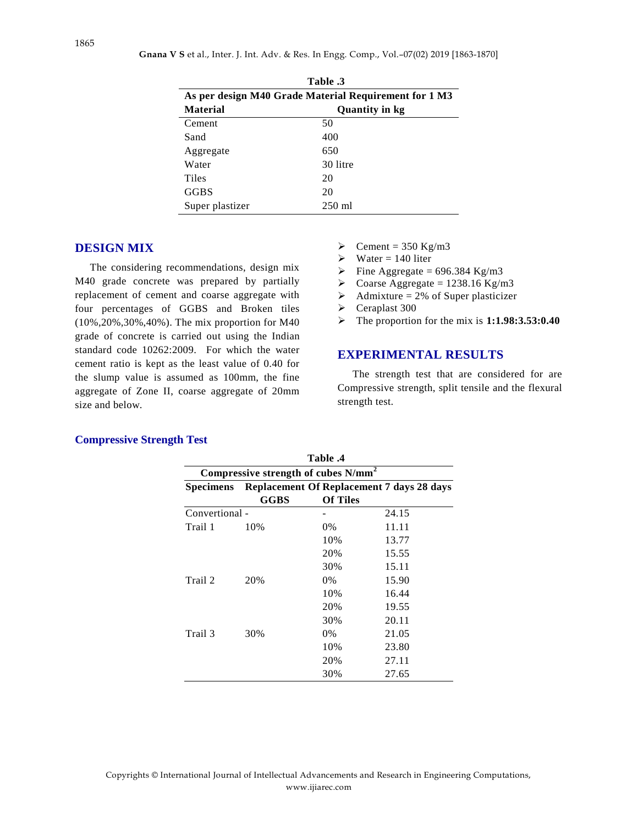| Table .3                                              |                       |  |  |
|-------------------------------------------------------|-----------------------|--|--|
| As per design M40 Grade Material Requirement for 1 M3 |                       |  |  |
| <b>Material</b>                                       | <b>Quantity in kg</b> |  |  |
| Cement                                                | 50                    |  |  |
| Sand                                                  | 400                   |  |  |
| Aggregate                                             | 650                   |  |  |
| Water                                                 | 30 litre              |  |  |
| Tiles                                                 | 20                    |  |  |
| <b>GGBS</b>                                           | 20                    |  |  |
| Super plastizer                                       | $250 \text{ ml}$      |  |  |

# **DESIGN MIX**

The considering recommendations, design mix M40 grade concrete was prepared by partially replacement of cement and coarse aggregate with four percentages of GGBS and Broken tiles (10%,20%,30%,40%). The mix proportion for M40 grade of concrete is carried out using the Indian standard code 10262:2009. For which the water cement ratio is kept as the least value of 0.40 for the slump value is assumed as 100mm, the fine aggregate of Zone II, coarse aggregate of 20mm size and below.

- $\triangleright$  Cement = 350 Kg/m3
- $\triangleright$  Water = 140 liter
- $\triangleright$  Fine Aggregate = 696.384 Kg/m3
- $\geq$  Coarse Aggregate = 1238.16 Kg/m3
- Admixture = 2% of Super plasticizer
- Ceraplast 300
- The proportion for the mix is **1:1.98:3.53:0.40**

# **EXPERIMENTAL RESULTS**

The strength test that are considered for are Compressive strength, split tensile and the flexural strength test.

| Table .4<br>Compressive strength of cubes N/mm <sup>2</sup> |      |                 |       |
|-------------------------------------------------------------|------|-----------------|-------|
|                                                             |      |                 |       |
|                                                             | GGBS | <b>Of Tiles</b> |       |
| Convertional -                                              |      |                 | 24.15 |
| Trail 1                                                     | 10%  | 0%              | 11.11 |
|                                                             |      | 10%             | 13.77 |
|                                                             |      | 20%             | 15.55 |
|                                                             |      | 30%             | 15.11 |
| Trail 2                                                     | 20%  | $0\%$           | 15.90 |
|                                                             |      | 10%             | 16.44 |
|                                                             |      | 20%             | 19.55 |
|                                                             |      | 30%             | 20.11 |
| Trail 3                                                     | 30%  | $0\%$           | 21.05 |
|                                                             |      | 10%             | 23.80 |
|                                                             |      | 20%             | 27.11 |
|                                                             |      | 30%             | 27.65 |

#### **Compressive Strength Test**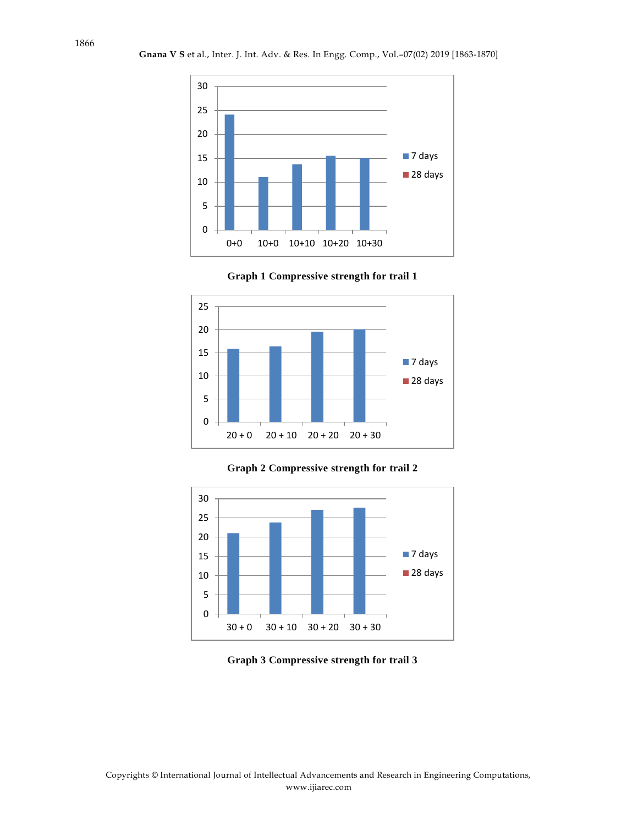









### **Graph 3 Compressive strength for trail 3**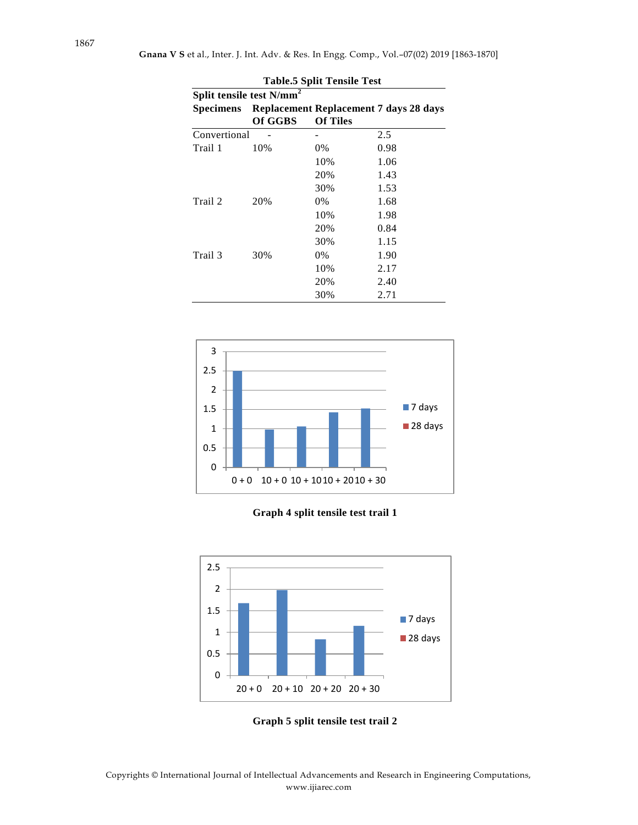| <b>Table.5 Split Tensile Test</b><br>Split tensile test N/mm <sup>2</sup> |         |                 |      |
|---------------------------------------------------------------------------|---------|-----------------|------|
|                                                                           |         |                 |      |
|                                                                           | Of GGBS | <b>Of Tiles</b> |      |
| Convertional                                                              |         |                 | 2.5  |
| Trail 1                                                                   | 10%     | 0%              | 0.98 |
|                                                                           |         | 10%             | 1.06 |
|                                                                           |         | 20%             | 1.43 |
|                                                                           |         | 30%             | 1.53 |
| Trail 2                                                                   | 20%     | $0\%$           | 1.68 |
|                                                                           |         | 10%             | 1.98 |
|                                                                           |         | 20%             | 0.84 |
|                                                                           |         | 30%             | 1.15 |
| Trail 3                                                                   | 30%     | $0\%$           | 1.90 |
|                                                                           |         | 10%             | 2.17 |
|                                                                           |         | 20%             | 2.40 |
|                                                                           |         | 30%             | 2.71 |







**Graph 5 split tensile test trail 2**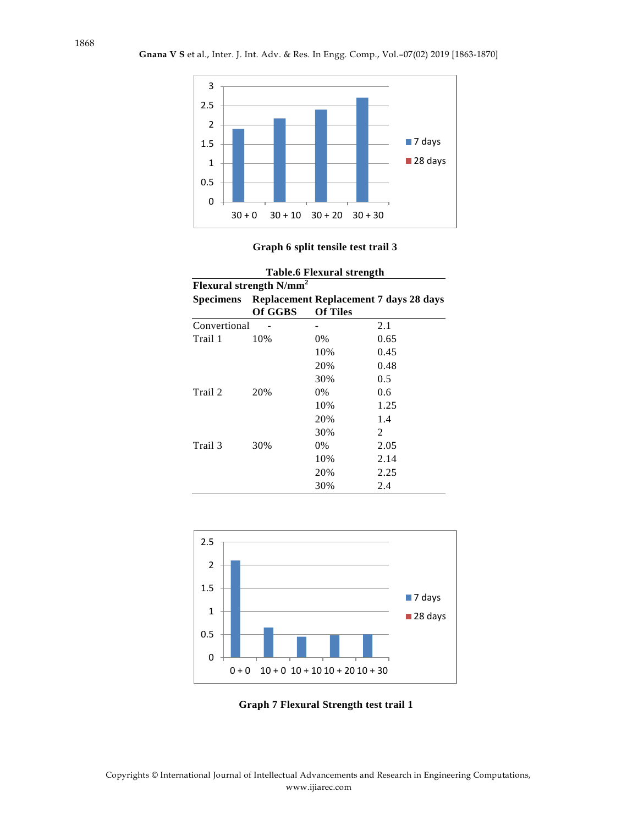

### **Graph 6 split tensile test trail 3**

| <b>Table.6 Flexural strength</b> |                                                  |                 |      |  |
|----------------------------------|--------------------------------------------------|-----------------|------|--|
| Flexural strength $N/mm^2$       |                                                  |                 |      |  |
|                                  | Specimens Replacement Replacement 7 days 28 days |                 |      |  |
|                                  | Of GGBS                                          | <b>Of Tiles</b> |      |  |
| Convertional                     |                                                  |                 | 2.1  |  |
| Trail 1                          | 10%                                              | $0\%$           | 0.65 |  |
|                                  |                                                  | 10%             | 0.45 |  |
|                                  |                                                  | 20%             | 0.48 |  |
|                                  |                                                  | 30%             | 0.5  |  |
| Trail 2                          | 20%                                              | $0\%$           | 0.6  |  |
|                                  |                                                  | 10%             | 1.25 |  |
|                                  |                                                  | 20%             | 1.4  |  |
|                                  |                                                  | 30%             | 2    |  |
| Trail 3                          | 30%                                              | $0\%$           | 2.05 |  |
|                                  |                                                  | 10%             | 2.14 |  |
|                                  |                                                  | 20%             | 2.25 |  |
|                                  |                                                  | 30%             | 2.4  |  |



**Graph 7 Flexural Strength test trail 1**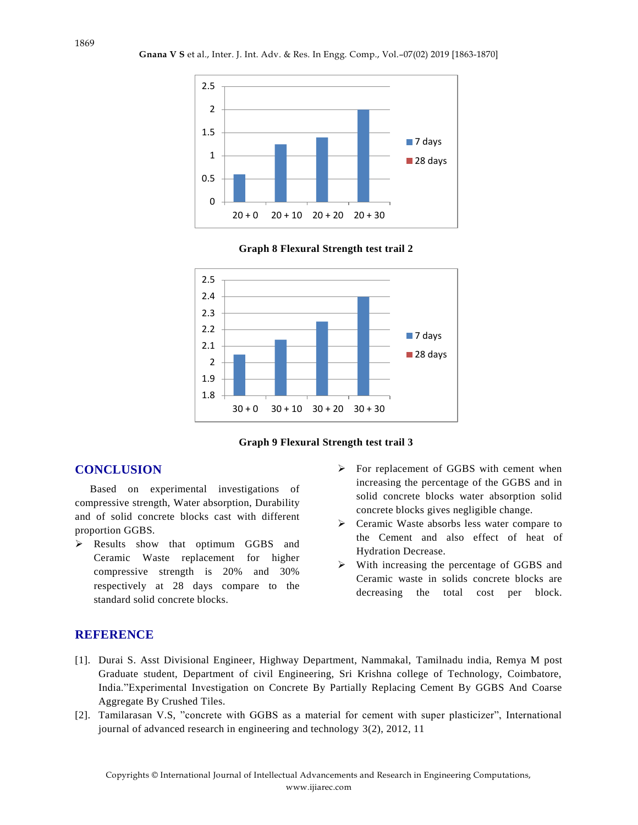**Gnana V S** et al., Inter. J. Int. Adv. & Res. In Engg. Comp., Vol.–07(02) 2019 [1863-1870]









# **CONCLUSION**

Based on experimental investigations of compressive strength, Water absorption, Durability and of solid concrete blocks cast with different proportion GGBS.

- Results show that optimum GGBS and Ceramic Waste replacement for higher compressive strength is 20% and 30% respectively at 28 days compare to the standard solid concrete blocks.
- $\triangleright$  For replacement of GGBS with cement when increasing the percentage of the GGBS and in solid concrete blocks water absorption solid concrete blocks gives negligible change.
- Ceramic Waste absorbs less water compare to the Cement and also effect of heat of Hydration Decrease.
- With increasing the percentage of GGBS and Ceramic waste in solids concrete blocks are decreasing the total cost per block.

# **REFERENCE**

- [1]. Durai S. Asst Divisional Engineer, Highway Department, Nammakal, Tamilnadu india, Remya M post Graduate student, Department of civil Engineering, Sri Krishna college of Technology, Coimbatore, India."Experimental Investigation on Concrete By Partially Replacing Cement By GGBS And Coarse Aggregate By Crushed Tiles.
- [2]. Tamilarasan V.S, "concrete with GGBS as a material for cement with super plasticizer", International journal of advanced research in engineering and technology 3(2), 2012, 11